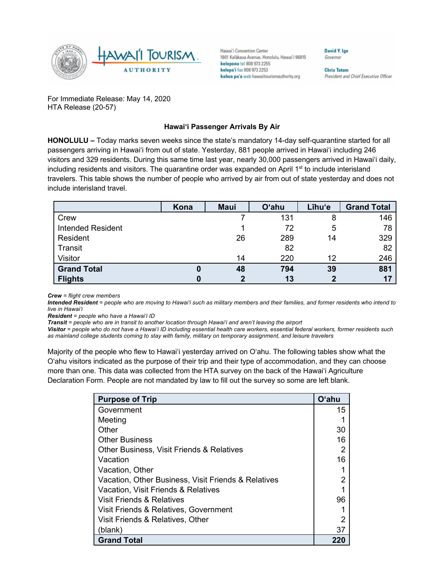

Hawai'i Convention Center 1801 Kalākaua Avenue, Honolulu, Hawai'i 96815 kelepona tel 808 973 2255 kelepa'i fax 808 973 2253 kahua pa'a web hawaiitourismauthority.org

David Y. Ige Governor

**Chris Tatum** President and Chief Executive Officer

For Immediate Release: May 14, 2020 HTA Release (20-57)

## **Hawai'i Passenger Arrivals By Air**

**HONOLULU –** Today marks seven weeks since the state's mandatory 14-day self-quarantine started for all passengers arriving in Hawai'i from out of state. Yesterday, 881 people arrived in Hawai'i including 246 visitors and 329 residents. During this same time last year, nearly 30,000 passengers arrived in Hawai'i daily, including residents and visitors. The quarantine order was expanded on April  $1<sup>st</sup>$  to include interisland travelers. This table shows the number of people who arrived by air from out of state yesterday and does not include interisland travel.

|                          | Kona | <b>Maui</b> | <b>O'ahu</b> | Līhu'e | <b>Grand Total</b> |
|--------------------------|------|-------------|--------------|--------|--------------------|
| Crew                     |      |             | 131          | 8      | 146                |
| <b>Intended Resident</b> |      |             | 72           | 5      | 78                 |
| Resident                 |      | 26          | 289          | 14     | 329                |
| Transit                  |      |             | 82           |        | 82                 |
| <b>Visitor</b>           |      | 14          | 220          | 12     | 246                |
| <b>Grand Total</b>       | 0    | 48          | 794          | 39     | 881                |
| <b>Flights</b>           |      | 2           | 13           |        | 17                 |

*Crew = flight crew members*

*Intended Resident = people who are moving to Hawai'i such as military members and their families, and former residents who intend to live in Hawai'i* 

*Resident = people who have a Hawai'i ID*

*Transit = people who are in transit to another location through Hawai'i and aren't leaving the airport*

*Visitor = people who do not have a Hawai'i ID including essential health care workers, essential federal workers, former residents such as mainland college students coming to stay with family, military on temporary assignment, and leisure travelers*

Majority of the people who flew to Hawai'i yesterday arrived on O'ahu. The following tables show what the O'ahu visitors indicated as the purpose of their trip and their type of accommodation, and they can choose more than one. This data was collected from the HTA survey on the back of the Hawai'i Agriculture Declaration Form. People are not mandated by law to fill out the survey so some are left blank.

| <b>Purpose of Trip</b>                              | <b>O'ahu</b> |
|-----------------------------------------------------|--------------|
| Government                                          | 15           |
| Meeting                                             |              |
| Other                                               | 30           |
| <b>Other Business</b>                               | 16           |
| Other Business, Visit Friends & Relatives           | 2            |
| Vacation                                            | 16           |
| Vacation, Other                                     |              |
| Vacation, Other Business, Visit Friends & Relatives | 2            |
| Vacation, Visit Friends & Relatives                 |              |
| Visit Friends & Relatives                           | 96           |
| Visit Friends & Relatives, Government               |              |
| Visit Friends & Relatives, Other                    | 2            |
| (blank)                                             | 37           |
| <b>Grand Total</b>                                  |              |